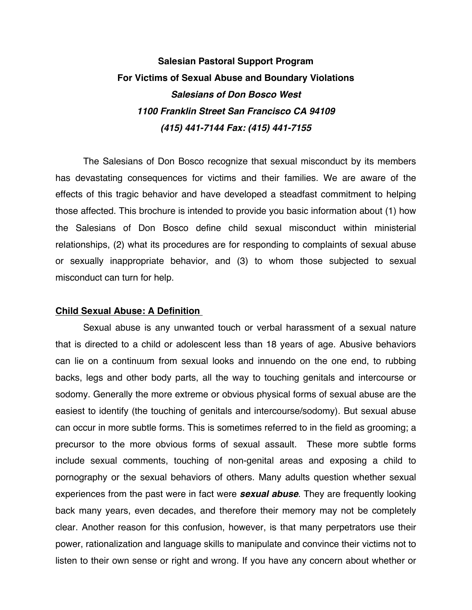# **Salesian Pastoral Support Program For Victims of Sexual Abuse and Boundary Violations**  *Salesians of Don Bosco West 1100 Franklin Street San Francisco CA 94109 (415) 441-7144 Fax: (415) 441-7155*

The Salesians of Don Bosco recognize that sexual misconduct by its members has devastating consequences for victims and their families. We are aware of the effects of this tragic behavior and have developed a steadfast commitment to helping those affected. This brochure is intended to provide you basic information about (1) how the Salesians of Don Bosco define child sexual misconduct within ministerial relationships, (2) what its procedures are for responding to complaints of sexual abuse or sexually inappropriate behavior, and (3) to whom those subjected to sexual misconduct can turn for help.

### **Child Sexual Abuse: A Definition**

Sexual abuse is any unwanted touch or verbal harassment of a sexual nature that is directed to a child or adolescent less than 18 years of age. Abusive behaviors can lie on a continuum from sexual looks and innuendo on the one end, to rubbing backs, legs and other body parts, all the way to touching genitals and intercourse or sodomy. Generally the more extreme or obvious physical forms of sexual abuse are the easiest to identify (the touching of genitals and intercourse/sodomy). But sexual abuse can occur in more subtle forms. This is sometimes referred to in the field as grooming; a precursor to the more obvious forms of sexual assault. These more subtle forms include sexual comments, touching of non-genital areas and exposing a child to pornography or the sexual behaviors of others. Many adults question whether sexual experiences from the past were in fact were *sexual abuse*. They are frequently looking back many years, even decades, and therefore their memory may not be completely clear. Another reason for this confusion, however, is that many perpetrators use their power, rationalization and language skills to manipulate and convince their victims not to listen to their own sense or right and wrong. If you have any concern about whether or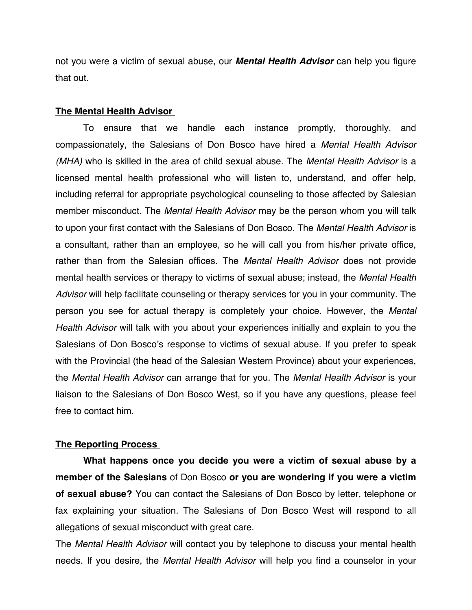not you were a victim of sexual abuse, our *Mental Health Advisor* can help you figure that out.

#### **The Mental Health Advisor**

To ensure that we handle each instance promptly, thoroughly, and compassionately, the Salesians of Don Bosco have hired a *Mental Health Advisor (MHA)* who is skilled in the area of child sexual abuse. The *Mental Health Advisor* is a licensed mental health professional who will listen to, understand, and offer help, including referral for appropriate psychological counseling to those affected by Salesian member misconduct. The *Mental Health Advisor* may be the person whom you will talk to upon your first contact with the Salesians of Don Bosco. The *Mental Health Advisor* is a consultant, rather than an employee, so he will call you from his/her private office, rather than from the Salesian offices. The *Mental Health Advisor* does not provide mental health services or therapy to victims of sexual abuse; instead, the *Mental Health Advisor* will help facilitate counseling or therapy services for you in your community. The person you see for actual therapy is completely your choice. However, the *Mental Health Advisor* will talk with you about your experiences initially and explain to you the Salesians of Don Bosco's response to victims of sexual abuse. If you prefer to speak with the Provincial (the head of the Salesian Western Province) about your experiences, the *Mental Health Advisor* can arrange that for you. The *Mental Health Advisor* is your liaison to the Salesians of Don Bosco West, so if you have any questions, please feel free to contact him.

## **The Reporting Process**

**What happens once you decide you were a victim of sexual abuse by a member of the Salesians** of Don Bosco **or you are wondering if you were a victim of sexual abuse?** You can contact the Salesians of Don Bosco by letter, telephone or fax explaining your situation. The Salesians of Don Bosco West will respond to all allegations of sexual misconduct with great care.

The *Mental Health Advisor* will contact you by telephone to discuss your mental health needs. If you desire, the *Mental Health Advisor* will help you find a counselor in your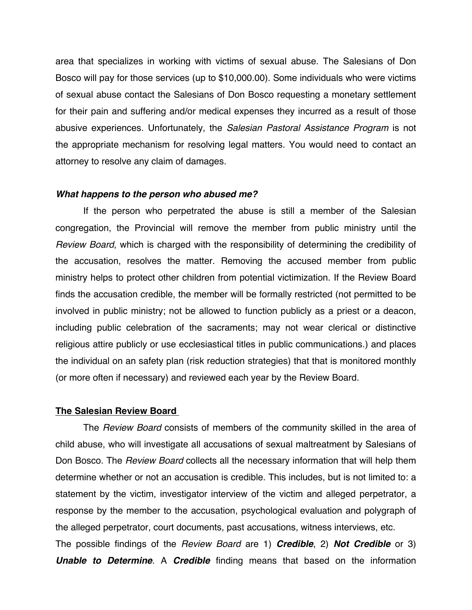area that specializes in working with victims of sexual abuse. The Salesians of Don Bosco will pay for those services (up to \$10,000.00). Some individuals who were victims of sexual abuse contact the Salesians of Don Bosco requesting a monetary settlement for their pain and suffering and/or medical expenses they incurred as a result of those abusive experiences. Unfortunately, the *Salesian Pastoral Assistance Program* is not the appropriate mechanism for resolving legal matters. You would need to contact an attorney to resolve any claim of damages.

#### *What happens to the person who abused me?*

If the person who perpetrated the abuse is still a member of the Salesian congregation, the Provincial will remove the member from public ministry until the *Review Board*, which is charged with the responsibility of determining the credibility of the accusation, resolves the matter. Removing the accused member from public ministry helps to protect other children from potential victimization. If the Review Board finds the accusation credible, the member will be formally restricted (not permitted to be involved in public ministry; not be allowed to function publicly as a priest or a deacon, including public celebration of the sacraments; may not wear clerical or distinctive religious attire publicly or use ecclesiastical titles in public communications.) and places the individual on an safety plan (risk reduction strategies) that that is monitored monthly (or more often if necessary) and reviewed each year by the Review Board.

#### **The Salesian Review Board**

The *Review Board* consists of members of the community skilled in the area of child abuse, who will investigate all accusations of sexual maltreatment by Salesians of Don Bosco. The *Review Board* collects all the necessary information that will help them determine whether or not an accusation is credible. This includes, but is not limited to: a statement by the victim, investigator interview of the victim and alleged perpetrator, a response by the member to the accusation, psychological evaluation and polygraph of the alleged perpetrator, court documents, past accusations, witness interviews, etc.

The possible findings of the *Review Board* are 1) *Credible*, 2) *Not Credible* or 3) *Unable to Determine*. A *Credible* finding means that based on the information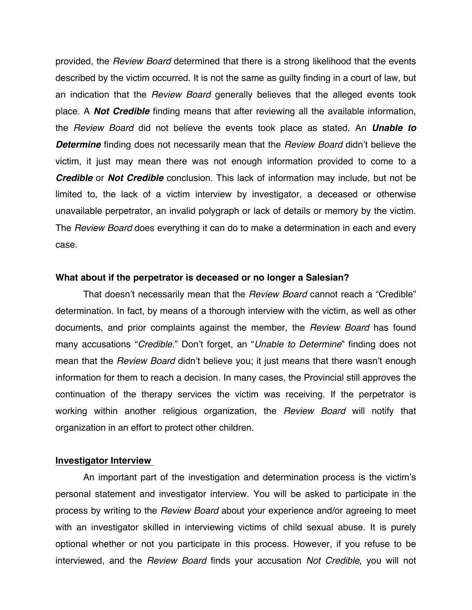provided, the *Review Board* determined that there is a strong likelihood that the events described by the victim occurred. It is not the same as guilty finding in a court of law, but an indication that the *Review Board* generally believes that the alleged events took place. A *Not Credible* finding means that after reviewing all the available information, the *Review Board* did not believe the events took place as stated. An *Unable to Determine* finding does not necessarily mean that the *Review Board* didn't believe the victim, it just may mean there was not enough information provided to come to a *Credible* or *Not Credible* conclusion. This lack of information may include, but not be limited to, the lack of a victim interview by investigator, a deceased or otherwise unavailable perpetrator, an invalid polygraph or lack of details or memory by the victim. The *Review Board* does everything it can do to make a determination in each and every case.

### **What about if the perpetrator is deceased or no longer a Salesian?**

That doesn't necessarily mean that the *Review Board* cannot reach a "Credible" determination. In fact, by means of a thorough interview with the victim, as well as other documents, and prior complaints against the member, the *Review Board* has found many accusations "*Credible*." Don't forget, an "*Unable to Determine*" finding does not mean that the *Review Board* didn't believe you; it just means that there wasn't enough information for them to reach a decision. In many cases, the Provincial still approves the continuation of the therapy services the victim was receiving. If the perpetrator is working within another religious organization, the *Review Board* will notify that organization in an effort to protect other children.

#### **Investigator Interview**

An important part of the investigation and determination process is the victim's personal statement and investigator interview. You will be asked to participate in the process by writing to the *Review Board* about your experience and/or agreeing to meet with an investigator skilled in interviewing victims of child sexual abuse. It is purely optional whether or not you participate in this process. However, if you refuse to be interviewed, and the *Review Board* finds your accusation *Not Credible*, you will not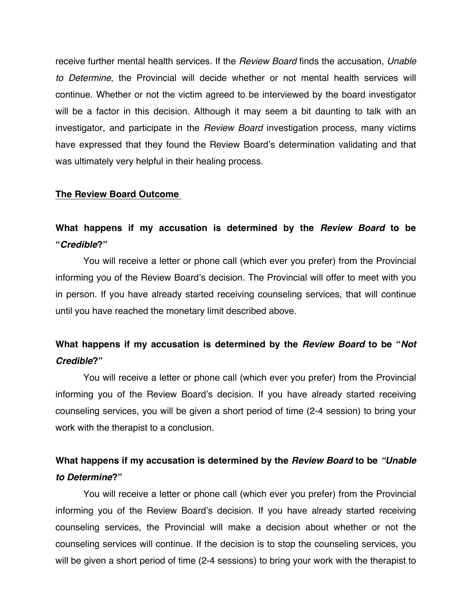receive further mental health services. If the *Review Board* finds the accusation, *Unable to Determine*, the Provincial will decide whether or not mental health services will continue. Whether or not the victim agreed to be interviewed by the board investigator will be a factor in this decision. Although it may seem a bit daunting to talk with an investigator, and participate in the *Review Board* investigation process, many victims have expressed that they found the Review Board's determination validating and that was ultimately very helpful in their healing process.

### **The Review Board Outcome**

# **What happens if my accusation is determined by the** *Review Board* **to be "***Credible***?"**

You will receive a letter or phone call (which ever you prefer) from the Provincial informing you of the Review Board's decision. The Provincial will offer to meet with you in person. If you have already started receiving counseling services, that will continue until you have reached the monetary limit described above.

# **What happens if my accusation is determined by the** *Review Board* **to be "***Not Credible***?"**

You will receive a letter or phone call (which ever you prefer) from the Provincial informing you of the Review Board's decision. If you have already started receiving counseling services, you will be given a short period of time (2-4 session) to bring your work with the therapist to a conclusion.

# **What happens if my accusation is determined by the** *Review Board* **to be** *"Unable to Determine***?"**

You will receive a letter or phone call (which ever you prefer) from the Provincial informing you of the Review Board's decision. If you have already started receiving counseling services, the Provincial will make a decision about whether or not the counseling services will continue. If the decision is to stop the counseling services, you will be given a short period of time (2-4 sessions) to bring your work with the therapist to